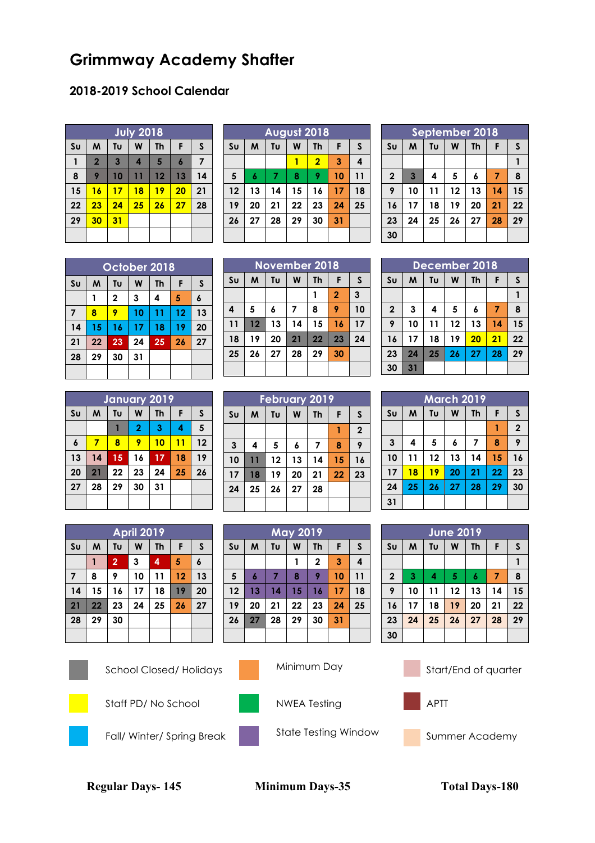## **Grimmway Academy Shafter**

## **2018-2019 School Calendar**

| July 2018              |                |                |    |           |                  |    |  |  |
|------------------------|----------------|----------------|----|-----------|------------------|----|--|--|
| $\mathsf{S}\mathsf{u}$ | M              | Tυ             | W  | <b>Th</b> | F                | S  |  |  |
| 1                      | $\overline{2}$ | $\overline{3}$ | 4  | 5         | $\boldsymbol{6}$ | 7  |  |  |
| 8                      | 9              | 10             | 11 | 12        | 13               | 14 |  |  |
| 15                     | 16             | 17             | 18 | 19        | 20               | 21 |  |  |
| 22                     | 23             | 24             | 25 | 26        | 27               | 28 |  |  |
| 29                     | 30             | 31             |    |           |                  |    |  |  |
|                        |                |                |    |           |                  |    |  |  |

|                | <b>August 2018</b> |    |    |                |    |              |  |  |  |  |
|----------------|--------------------|----|----|----------------|----|--------------|--|--|--|--|
| S <sub>U</sub> | M                  | Tυ | W  | <b>Th</b>      | F  | $\mathsf{S}$ |  |  |  |  |
|                |                    |    |    | $\overline{2}$ | 3  | 4            |  |  |  |  |
| 5              | 6                  | 7  | 8  | 9              | 10 | 11           |  |  |  |  |
| 12             | 13                 | 14 | 15 | 16             | 17 | 18           |  |  |  |  |
| 19             | 20                 | 21 | 22 | 23             | 24 | 25           |  |  |  |  |
| 26             | 27                 | 28 | 29 | 30             | 31 |              |  |  |  |  |
|                |                    |    |    |                |    |              |  |  |  |  |

| September 2018 |                         |    |    |    |    |    |  |  |  |
|----------------|-------------------------|----|----|----|----|----|--|--|--|
| S <sub>U</sub> | W<br>M<br>Tυ<br>Th<br>F |    |    |    |    |    |  |  |  |
|                |                         |    |    |    |    |    |  |  |  |
| $\overline{2}$ | $\overline{3}$          | 4  | 5  | 6  | 7  | 8  |  |  |  |
| 9              | 10                      | 11 | 12 | 13 | 14 | 15 |  |  |  |
| 16             | 17                      | 18 | 19 | 20 | 21 | 22 |  |  |  |
| 23             | 24                      | 25 | 26 | 27 | 28 | 29 |  |  |  |
| 30             |                         |    |    |    |    |    |  |  |  |

| October 2018   |    |    |    |    |    |    |  |  |
|----------------|----|----|----|----|----|----|--|--|
| S <sub>U</sub> | M  | Tυ | W  | Th | F  | S  |  |  |
|                |    | 2  | 3  | 4  | 5  | 6  |  |  |
| 7              | 8  | 9  | 10 | 11 | 12 | 13 |  |  |
| 14             | 15 | 16 | 17 | 18 | 19 | 20 |  |  |
| 21             | 22 | 23 | 24 | 25 | 26 | 27 |  |  |
| 28             | 29 | 30 | 31 |    |    |    |  |  |
|                |    |    |    |    |    |    |  |  |

| <b>November 2018</b> |    |                    |    |    |                |    |  |  |
|----------------------|----|--------------------|----|----|----------------|----|--|--|
| S <sub>U</sub>       | M  | Tυ<br>W<br>Th<br>F |    |    |                |    |  |  |
|                      |    |                    |    |    | $\overline{2}$ | 3  |  |  |
| 4                    | 5  | 6                  | 7  | 8  | 9              | 10 |  |  |
| 11                   | 12 | 13                 | 14 | 15 | 16             | 17 |  |  |
| 18                   | 19 | 20                 | 21 | 22 | 23             | 24 |  |  |
| 25                   | 26 | 27                 | 28 | 29 | 30             |    |  |  |
|                      |    |                    |    |    |                |    |  |  |

| December 2018  |    |    |    |    |    |    |  |  |  |
|----------------|----|----|----|----|----|----|--|--|--|
| S <sub>U</sub> | M  | Tυ | W  | Th | F  | S  |  |  |  |
|                |    |    |    |    |    |    |  |  |  |
| $\mathbf{2}$   | 3  | 4  | 5  | 6  | 7  | 8  |  |  |  |
| 9              | 10 | 11 | 12 | 13 | 14 | 15 |  |  |  |
| 16             | 17 | 18 | 19 | 20 | 21 | 22 |  |  |  |
| 23             | 24 | 25 | 26 | 27 | 28 | 29 |  |  |  |
| 30             | 31 |    |    |    |    |    |  |  |  |

| January 2019   |    |    |                |           |    |    |  |  |  |
|----------------|----|----|----------------|-----------|----|----|--|--|--|
| S <sub>U</sub> | M  | Tυ | W              | <b>Th</b> | F  | S  |  |  |  |
|                |    |    | $\overline{2}$ | 3         | 4  | 5  |  |  |  |
| 6              | 7  | 8  | 9              | 10        | 11 | 12 |  |  |  |
| 13             | 14 | 15 | 16             | 17        | 18 | 19 |  |  |  |
| 20             | 21 | 22 | 23             | 24        | 25 | 26 |  |  |  |
| 27             | 28 | 29 | 30             | 31        |    |    |  |  |  |
|                |    |    |                |           |    |    |  |  |  |

| <b>February 2019</b> |    |    |    |           |    |              |  |  |
|----------------------|----|----|----|-----------|----|--------------|--|--|
| S <sub>U</sub>       | M  | Tu | W  | <b>Th</b> | F  | S            |  |  |
|                      |    |    |    |           | 1  | $\mathbf{2}$ |  |  |
| 3                    | 4  | 5  | 6  | 7         | 8  | 9            |  |  |
| 10                   | 11 | 12 | 13 | 14        | 15 | 16           |  |  |
| 17                   | 18 | 19 | 20 | 21        | 22 | 23           |  |  |
| 24                   | 25 | 26 | 27 | 28        |    |              |  |  |
|                      |    |    |    |           |    |              |  |  |

**May 2019**  $\mathbf{S} \mathbf{u}$  |  $\mathbf{M}$  |  $\mathbf{T} \mathbf{u}$  |  $\mathbf{W}$  |  $\mathbf{T} \mathbf{h}$  |  $\mathbf{F}$  |  $\mathbf{S}$ 

 **6 7 8 9 10 11 13 14 15 16 17 18 20 21 22 23 24 25 27 28 29 30 31**

 $1 \mid 2 \mid 3 \mid 4$ 

| <b>March 2019</b> |    |    |    |    |    |             |  |  |  |
|-------------------|----|----|----|----|----|-------------|--|--|--|
|                   |    |    |    |    |    |             |  |  |  |
| S <sub>U</sub>    | M  | Tυ | W  | Th | F  | S           |  |  |  |
|                   |    |    |    |    |    | $\mathbf 2$ |  |  |  |
| $\mathbf{3}$      | 4  | 5  | 6  | 7  | 8  | 9           |  |  |  |
| 10                | 11 | 12 | 13 | 14 | 15 | 16          |  |  |  |
| 17                | 18 | 19 | 20 | 21 | 22 | 23          |  |  |  |
| 24                | 25 | 26 | 27 | 28 | 29 | 30          |  |  |  |
| 31                |    |    |    |    |    |             |  |  |  |

**June 2019**  $\mathbf{S} \mathbf{u}$  |  $\mathbf{M}$  |  $\mathbf{T} \mathbf{u}$  |  $\mathbf{W}$  |  $\mathbf{T} \mathbf{h}$  |  $\mathbf{F}$  |  $\mathbf{S}$ 

 **3 4 5 6 7 8 10 11 12 13 14 15 17 18 19 20 21 22 24 25 26 27 28 29**

| <b>April 2019</b> |                         |                |    |    |    |    |  |  |
|-------------------|-------------------------|----------------|----|----|----|----|--|--|
| S <sub>U</sub>    | W<br>M<br>Tυ<br>Th<br>F |                |    |    |    | S  |  |  |
|                   |                         | $\overline{2}$ | 3  | 4  | 5  | 6  |  |  |
| 7                 | 8                       | 9              | 10 | 11 | 12 | 13 |  |  |
| 14                | 15                      | 16             | 17 | 18 | 19 | 20 |  |  |
| 21                | 22                      | 23             | 24 | 25 | 26 | 27 |  |  |
| 28                | 29                      | 30             |    |    |    |    |  |  |
|                   |                         |                |    |    |    |    |  |  |



School Closed/ Holidays Minimum Day Start/End of quarter





Staff PD/ No School NWEA Testing APTT









Fall/ Winter/ Spring Break State Testing Window Summer Academy





**Regular Days- 145 Minimum Days-35 Total Days-180**